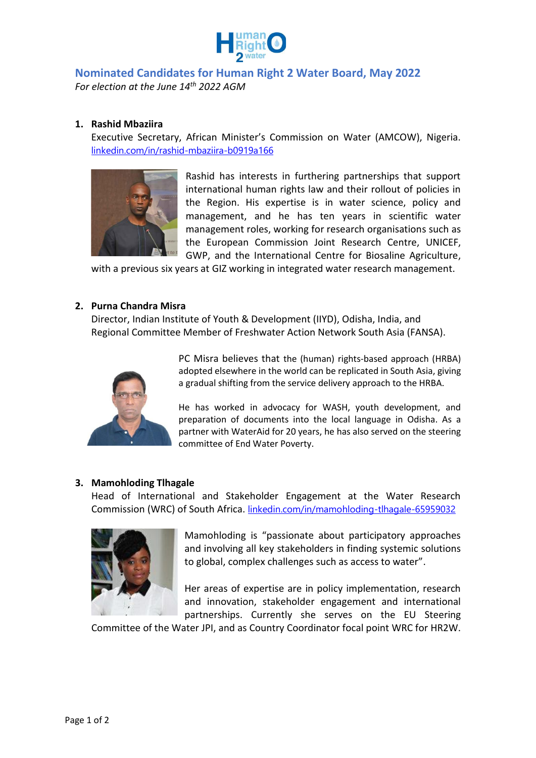

# **Nominated Candidates for Human Right 2 Water Board, May 2022** *For election at the June 14th 2022 AGM*

## **1. Rashid Mbaziira**

Executive Secretary, African Minister's Commission on Water (AMCOW), Nigeria. [linkedin.com/in/rashid-mbaziira-b0919a166](https://www.linkedin.com/in/rashid-mbaziira-b0919a166)



Rashid has interests in furthering partnerships that support international human rights law and their rollout of policies in the Region. His expertise is in water science, policy and management, and he has ten years in scientific water management roles, working for research organisations such as the European Commission Joint Research Centre, UNICEF, GWP, and the International Centre for Biosaline Agriculture,

with a previous six years at GIZ working in integrated water research management.

#### **2. Purna Chandra Misra**

Director, Indian Institute of Youth & Development (IIYD), Odisha, India, and Regional Committee Member of Freshwater Action Network South Asia (FANSA).



PC Misra believes that the (human) rights-based approach (HRBA) adopted elsewhere in the world can be replicated in South Asia, giving a gradual shifting from the service delivery approach to the HRBA.

He has worked in advocacy for WASH, youth development, and preparation of documents into the local language in Odisha. As a partner with WaterAid for 20 years, he has also served on the steering committee of End Water Poverty.

### **3. Mamohloding Tlhagale**

Head of International and Stakeholder Engagement at the Water Research Commission (WRC) of South Africa. [linkedin.com/in/mamohloding-tlhagale-65959032](https://www.linkedin.com/in/mamohloding-tlhagale-65959032)



Mamohloding is "passionate about participatory approaches and involving all key stakeholders in finding systemic solutions to global, complex challenges such as access to water".

Her areas of expertise are in policy implementation, research and innovation, stakeholder engagement and international partnerships. Currently she serves on the EU Steering

Committee of the Water JPI, and as Country Coordinator focal point WRC for HR2W.